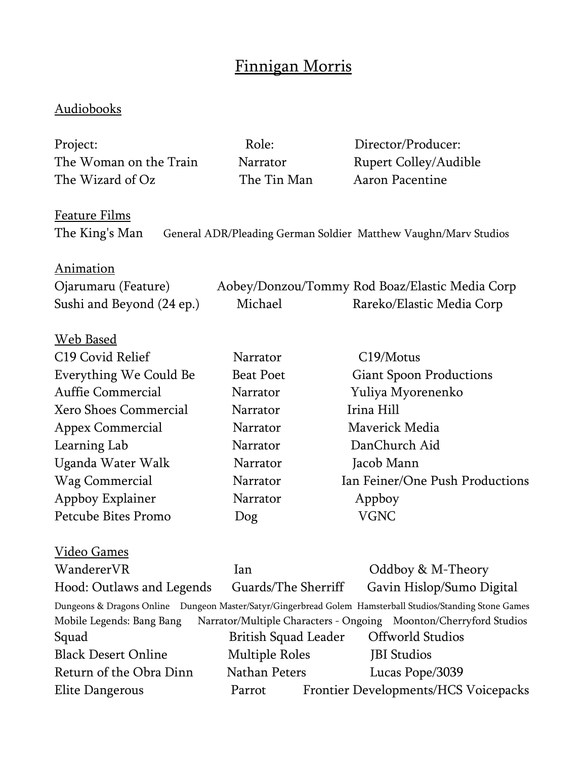## Finnigan Morris

## Audiobooks

| Project:                           | Role:                       | Director/Producer:                                                                                                                                                                                        |
|------------------------------------|-----------------------------|-----------------------------------------------------------------------------------------------------------------------------------------------------------------------------------------------------------|
| The Woman on the Train             | Narrator                    | <b>Rupert Colley/Audible</b>                                                                                                                                                                              |
| The Wizard of Oz                   | The Tin Man                 | Aaron Pacentine                                                                                                                                                                                           |
| <b>Feature Films</b>               |                             |                                                                                                                                                                                                           |
| The King's Man                     |                             | General ADR/Pleading German Soldier Matthew Vaughn/Marv Studios                                                                                                                                           |
| <b>Animation</b>                   |                             |                                                                                                                                                                                                           |
| Ojarumaru (Feature)                |                             | Aobey/Donzou/Tommy Rod Boaz/Elastic Media Corp                                                                                                                                                            |
| Sushi and Beyond (24 ep.)          | Michael                     | Rareko/Elastic Media Corp                                                                                                                                                                                 |
| <b>Web Based</b>                   |                             |                                                                                                                                                                                                           |
| C19 Covid Relief                   | Narrator                    | C19/Motus                                                                                                                                                                                                 |
| Everything We Could Be             | <b>Beat Poet</b>            | <b>Giant Spoon Productions</b>                                                                                                                                                                            |
| <b>Auffie Commercial</b>           | Narrator                    | Yuliya Myorenenko                                                                                                                                                                                         |
| Xero Shoes Commercial              | Narrator                    | Irina Hill                                                                                                                                                                                                |
| Appex Commercial                   | Narrator                    | Maverick Media                                                                                                                                                                                            |
| Learning Lab                       | Narrator                    | DanChurch Aid                                                                                                                                                                                             |
| Uganda Water Walk                  | Narrator                    | Jacob Mann                                                                                                                                                                                                |
| Wag Commercial                     | Narrator                    | Ian Feiner/One Push Productions                                                                                                                                                                           |
| Appboy Explainer                   | Narrator                    | Appboy                                                                                                                                                                                                    |
| Petcube Bites Promo                | Dog                         | <b>VGNC</b>                                                                                                                                                                                               |
| <u>Video Games</u>                 |                             |                                                                                                                                                                                                           |
| WandererVR                         | lan                         | Oddboy & M-Theory                                                                                                                                                                                         |
| Hood: Outlaws and Legends          | Guards/The Sherriff         | Gavin Hislop/Sumo Digital                                                                                                                                                                                 |
| Mobile Legends: Bang Bang<br>Squad | <b>British Squad Leader</b> | Dungeons & Dragons Online Dungeon Master/Satyr/Gingerbread Golem Hamsterball Studios/Standing Stone Games<br>Narrator/Multiple Characters - Ongoing Moonton/Cherryford Studios<br><b>Offworld Studios</b> |
| <b>Black Desert Online</b>         | <b>Multiple Roles</b>       | <b>JBI</b> Studios                                                                                                                                                                                        |
| Return of the Obra Dinn            | Nathan Peters               | Lucas Pope/3039                                                                                                                                                                                           |
| Elite Dangerous                    | Parrot                      | Frontier Developments/HCS Voicepacks                                                                                                                                                                      |
|                                    |                             |                                                                                                                                                                                                           |